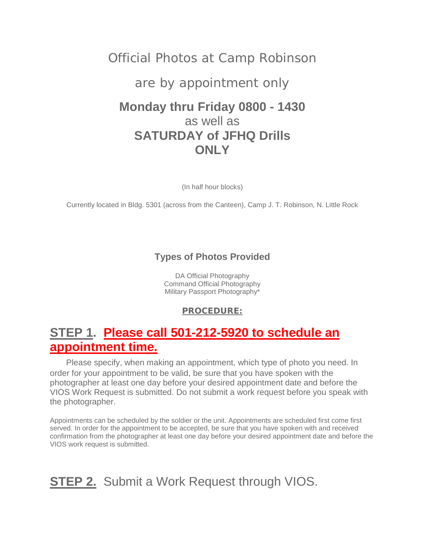## Official Photos at Camp Robinson

### are by appointment only

## **Monday thru Friday 0800 - 1430** as well as **SATURDAY of JFHQ Drills ONLY**

(In half hour blocks)

Currently located in Bldg. 5301 (across from the Canteen), Camp J. T. Robinson, N. Little Rock

### **Types of Photos Provided**

DA Official Photography Command Official Photography Military Passport Photography\*

### **PROCEDURE:**

## **STEP 1. Please call 501-212-5920 to schedule an appointment time.**

 Please specify, when making an appointment, which type of photo you need. In order for your appointment to be valid, be sure that you have spoken with the photographer at least one day before your desired appointment date and before the VIOS Work Request is submitted. Do not submit a work request before you speak with the photographer.

Appointments can be scheduled by the soldier or the unit. Appointments are scheduled first come first served. In order for the appointment to be accepted, be sure that you have spoken with and received confirmation from the photographer at least one day before your desired appointment date and before the VIOS work request is submitted.

# **STEP 2.** Submit a Work Request through VIOS.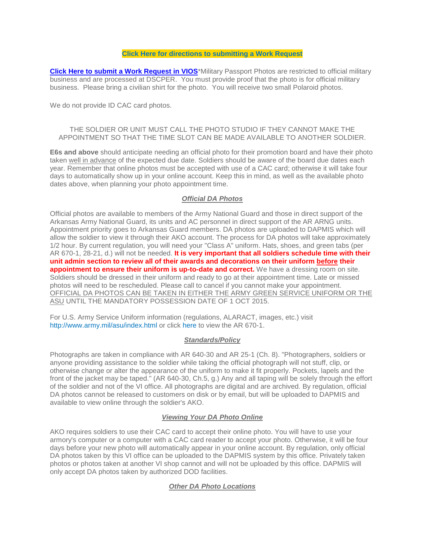#### **[Click Here for directions to submitting a Work Request](https://ngarhome/Web%20Pages/JFHQ%20Coordinating%20Staff/DCSIM/Information%20Services/Visual%20Information%20Services/Document%20Library/VIOS%20Guides/VIOS%20Directions_photos%20appointments.pdf)**

**[Click Here to submit a Work Request in VIOS](http://www.vios.army.mil/)**\*Military Passport Photos are restricted to official military business and are processed at DSCPER. You must provide proof that the photo is for official military business. Please bring a civilian shirt for the photo. You will receive two small Polaroid photos.

We do not provide ID CAC card photos.

#### THE SOLDIER OR UNIT MUST CALL THE PHOTO STUDIO IF THEY CANNOT MAKE THE APPOINTMENT SO THAT THE TIME SLOT CAN BE MADE AVAILABLE TO ANOTHER SOLDIER.

**E6s and above** should anticipate needing an official photo for their promotion board and have their photo taken well in advance of the expected due date. Soldiers should be aware of the board due dates each year. Remember that online photos must be accepted with use of a CAC card; otherwise it will take four days to automatically show up in your online account. Keep this in mind, as well as the available photo dates above, when planning your photo appointment time.

#### *Official DA Photos*

Official photos are available to members of the Army National Guard and those in direct support of the Arkansas Army National Guard, its units and AC personnel in direct support of the AR ARNG units. Appointment priority goes to Arkansas Guard members. DA photos are uploaded to DAPMIS which will allow the soldier to view it through their AKO account. The process for DA photos will take approximately 1/2 hour. By current regulation, you will need your "Class A" uniform. Hats, shoes, and green tabs (per AR 670-1, 28-21, d.) will not be needed. **It is very important that all soldiers schedule time with their unit admin section to review all of their awards and decorations on their uniform before their appointment to ensure their uniform is up-to-date and correct.** We have a dressing room on site. Soldiers should be dressed in their uniform and ready to go at their appointment time. Late or missed photos will need to be rescheduled. Please call to cancel if you cannot make your appointment. OFFICIAL DA PHOTOS CAN BE TAKEN IN EITHER THE ARMY GREEN SERVICE UNIFORM OR THE ASU UNTIL THE MANDATORY POSSESSION DATE OF 1 OCT 2015.

For U.S. Army Service Uniform information (regulations, ALARACT, images, etc.) visit <http://www.army.mil/asu/index.html> or click [here](http://www.armyg1.army.mil/hr/uniform/docs/r670_1.pdf) to view the AR 670-1.

#### *Standards/Policy*

Photographs are taken in compliance with AR 640-30 and AR 25-1 (Ch. 8). "Photographers, soldiers or anyone providing assistance to the soldier while taking the official photograph will not stuff, clip, or otherwise change or alter the appearance of the uniform to make it fit properly. Pockets, lapels and the front of the jacket may be taped." (AR 640-30, Ch.5, g.) Any and all taping will be solely through the effort of the soldier and not of the VI office. All photographs are digital and are archived. By regulation, official DA photos cannot be released to customers on disk or by email, but will be uploaded to DAPMIS and available to view online through the soldier's AKO.

#### *Viewing Your DA Photo Online*

AKO requires soldiers to use their CAC card to accept their online photo. You will have to use your armory's computer or a computer with a CAC card reader to accept your photo. Otherwise, it will be four days before your new photo will automatically appear in your online account. By regulation, only official DA photos taken by this VI office can be uploaded to the DAPMIS system by this office. Privately taken photos or photos taken at another VI shop cannot and will not be uploaded by this office. DAPMIS will only accept DA photos taken by authorized DOD facilities.

#### *Other DA Photo Locations*